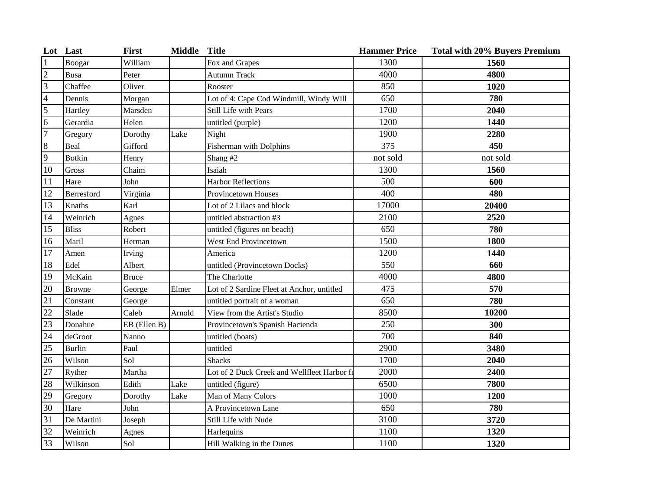|                         | Lot Last      | First        | <b>Middle</b> | <b>Title</b>                                | <b>Hammer Price</b> | <b>Total with 20% Buyers Premium</b> |
|-------------------------|---------------|--------------|---------------|---------------------------------------------|---------------------|--------------------------------------|
| $\vert$ 1               | Boogar        | William      |               | Fox and Grapes                              | 1300                | 1560                                 |
| $\frac{2}{3}$           | <b>Busa</b>   | Peter        |               | <b>Autumn Track</b>                         | 4000                | 4800                                 |
|                         | Chaffee       | Oliver       |               | Rooster                                     | 850                 | 1020                                 |
| $\overline{\mathbf{4}}$ | Dennis        | Morgan       |               | Lot of 4: Cape Cod Windmill, Windy Will     | 650                 | 780                                  |
| 5                       | Hartley       | Marsden      |               | Still Life with Pears                       | 1700                | 2040                                 |
| 6                       | Gerardia      | Helen        |               | untitled (purple)                           | 1200                | 1440                                 |
| $\overline{7}$          | Gregory       | Dorothy      | Lake          | Night                                       | 1900                | 2280                                 |
| $\bf 8$                 | Beal          | Gifford      |               | Fisherman with Dolphins                     | 375                 | 450                                  |
| $\overline{9}$          | <b>Botkin</b> | Henry        |               | Shang #2                                    | not sold            | not sold                             |
| 10                      | Gross         | Chaim        |               | Isaiah                                      | 1300                | 1560                                 |
| 11                      | Hare          | John         |               | <b>Harbor Reflections</b>                   | 500                 | 600                                  |
| 12                      | Berresford    | Virginia     |               | Provincetown Houses                         | 400                 | 480                                  |
| 13                      | Knaths        | Karl         |               | Lot of 2 Lilacs and block                   | 17000               | 20400                                |
| 14                      | Weinrich      | Agnes        |               | untitled abstraction #3                     | 2100                | 2520                                 |
| 15                      | <b>Bliss</b>  | Robert       |               | untitled (figures on beach)                 | 650                 | 780                                  |
| $\overline{16}$         | Maril         | Herman       |               | West End Provincetown                       | 1500                | 1800                                 |
| 17                      | Amen          | Irving       |               | America                                     | 1200                | 1440                                 |
| 18                      | Edel          | Albert       |               | untitled (Provincetown Docks)               | 550                 | 660                                  |
| 19                      | McKain        | <b>Bruce</b> |               | The Charlotte                               | 4000                | 4800                                 |
| 20                      | <b>Browne</b> | George       | Elmer         | Lot of 2 Sardine Fleet at Anchor, untitled  | 475                 | 570                                  |
| 21                      | Constant      | George       |               | untitled portrait of a woman                | 650                 | 780                                  |
| $\overline{22}$         | Slade         | Caleb        | Arnold        | View from the Artist's Studio               | 8500                | 10200                                |
| $\overline{23}$         | Donahue       | EB (Ellen B) |               | Provincetown's Spanish Hacienda             | 250                 | 300                                  |
| $\overline{24}$         | deGroot       | Nanno        |               | untitled (boats)                            | 700                 | 840                                  |
| 25                      | <b>Burlin</b> | Paul         |               | untitled                                    | 2900                | 3480                                 |
| 26                      | Wilson        | Sol          |               | <b>Shacks</b>                               | 1700                | 2040                                 |
| 27                      | Ryther        | Martha       |               | Lot of 2 Duck Creek and Wellfleet Harbor fi | 2000                | 2400                                 |
| 28                      | Wilkinson     | Edith        | Lake          | untitled (figure)                           | 6500                | 7800                                 |
| 29                      | Gregory       | Dorothy      | Lake          | Man of Many Colors                          | 1000                | 1200                                 |
| 30                      | Hare          | John         |               | A Provincetown Lane                         | 650                 | 780                                  |
| 31                      | De Martini    | Joseph       |               | Still Life with Nude                        | 3100                | 3720                                 |
| 32                      | Weinrich      | Agnes        |               | Harlequins                                  | 1100                | 1320                                 |
| 33                      | Wilson        | Sol          |               | Hill Walking in the Dunes                   | 1100                | 1320                                 |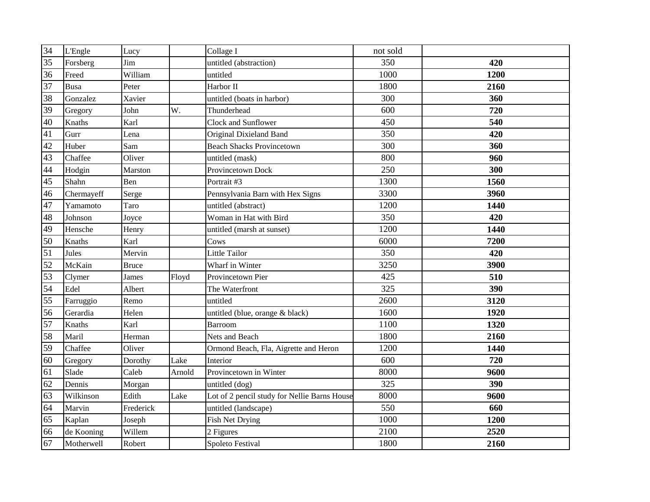| 34              | <b>L'Engle</b> | Lucy         |        | Collage I                                    | not sold |      |
|-----------------|----------------|--------------|--------|----------------------------------------------|----------|------|
| 35              | Forsberg       | Jim          |        | untitled (abstraction)                       | 350      | 420  |
| 36              | Freed          | William      |        | untitled                                     | 1000     | 1200 |
| 37              | <b>Busa</b>    | Peter        |        | Harbor II                                    | 1800     | 2160 |
| 38              | Gonzalez       | Xavier       |        | untitled (boats in harbor)                   | 300      | 360  |
| 39              | Gregory        | John         | W.     | Thunderhead                                  | 600      | 720  |
| 40              | Knaths         | Karl         |        | Clock and Sunflower                          | 450      | 540  |
| 41              | Gurr           | Lena         |        | Original Dixieland Band                      | 350      | 420  |
| 42              | Huber          | Sam          |        | <b>Beach Shacks Provincetown</b>             | 300      | 360  |
| 43              | Chaffee        | Oliver       |        | untitled (mask)                              | 800      | 960  |
| 44              | Hodgin         | Marston      |        | Provincetown Dock                            | 250      | 300  |
| 45              | Shahn          | Ben          |        | Portrait #3                                  | 1300     | 1560 |
| 46              | Chermayeff     | Serge        |        | Pennsylvania Barn with Hex Signs             | 3300     | 3960 |
| 47              | Yamamoto       | Taro         |        | untitled (abstract)                          | 1200     | 1440 |
| 48              | Johnson        | Joyce        |        | Woman in Hat with Bird                       | 350      | 420  |
| 49              | Hensche        | Henry        |        | untitled (marsh at sunset)                   | 1200     | 1440 |
| 50              | Knaths         | Karl         |        | Cows                                         | 6000     | 7200 |
| 51              | Jules          | Mervin       |        | Little Tailor                                | 350      | 420  |
| 52              | McKain         | <b>Bruce</b> |        | Wharf in Winter                              | 3250     | 3900 |
| 53              | Clymer         | James        | Floyd  | Provincetown Pier                            | 425      | 510  |
| 54              | Edel           | Albert       |        | The Waterfront                               | 325      | 390  |
| $\overline{55}$ | Farruggio      | Remo         |        | untitled                                     | 2600     | 3120 |
| 56              | Gerardia       | Helen        |        | untitled (blue, orange & black)              | 1600     | 1920 |
| 57              | Knaths         | Karl         |        | Barroom                                      | 1100     | 1320 |
| 58              | Maril          | Herman       |        | Nets and Beach                               | 1800     | 2160 |
| 59              | Chaffee        | Oliver       |        | Ormond Beach, Fla, Aigrette and Heron        | 1200     | 1440 |
| 60              | Gregory        | Dorothy      | Lake   | Interior                                     | 600      | 720  |
| 61              | Slade          | Caleb        | Arnold | Provincetown in Winter                       | 8000     | 9600 |
| 62              | Dennis         | Morgan       |        | untitled (dog)                               | 325      | 390  |
| 63              | Wilkinson      | Edith        | Lake   | Lot of 2 pencil study for Nellie Barns House | 8000     | 9600 |
| 64              | Marvin         | Frederick    |        | untitled (landscape)                         | 550      | 660  |
| $\overline{65}$ | Kaplan         | Joseph       |        | <b>Fish Net Drying</b>                       | 1000     | 1200 |
| 66              | de Kooning     | Willem       |        | 2 Figures                                    | 2100     | 2520 |
| 67              | Motherwell     | Robert       |        | Spoleto Festival                             | 1800     | 2160 |